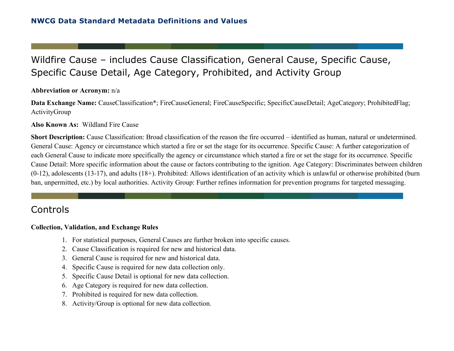# Wildfire Cause – includes Cause Classification, General Cause, Specific Cause, Specific Cause Detail, Age Category, Prohibited, and Activity Group

#### **Abbreviation or Acronym:** n/a

**Data Exchange Name:** CauseClassification\*; FireCauseGeneral; FireCauseSpecific; SpecificCauseDetail; AgeCategory; ProhibitedFlag; ActivityGroup

#### **Also Known As:** Wildland Fire Cause

**Short Description:** Cause Classification: Broad classification of the reason the fire occurred – identified as human, natural or undetermined. General Cause: Agency or circumstance which started a fire or set the stage for its occurrence. Specific Cause: A further categorization of each General Cause to indicate more specifically the agency or circumstance which started a fire or set the stage for its occurrence. Specific Cause Detail: More specific information about the cause or factors contributing to the ignition. Age Category: Discriminates between children (0-12), adolescents (13-17), and adults (18+). Prohibited: Allows identification of an activity which is unlawful or otherwise prohibited (burn ban, unpermitted, etc.) by local authorities. Activity Group: Further refines information for prevention programs for targeted messaging.

## Controls

#### **Collection, Validation, and Exchange Rules**

- 1. For statistical purposes, General Causes are further broken into specific causes.
- 2. Cause Classification is required for new and historical data.
- 3. General Cause is required for new and historical data.
- 4. Specific Cause is required for new data collection only.
- 5. Specific Cause Detail is optional for new data collection.
- 6. Age Category is required for new data collection.
- 7. Prohibited is required for new data collection.
- 8. Activity/Group is optional for new data collection.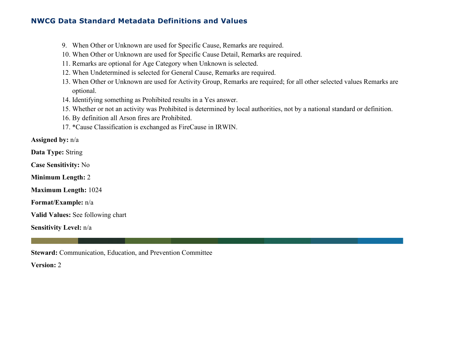- 9. When Other or Unknown are used for Specific Cause, Remarks are required.
- 10. When Other or Unknown are used for Specific Cause Detail, Remarks are required.
- 11. Remarks are optional for Age Category when Unknown is selected.
- 12. When Undetermined is selected for General Cause, Remarks are required.
- 13. When Other or Unknown are used for Activity Group, Remarks are required; for all other selected values Remarks are optional.
- 14. Identifying something as Prohibited results in a Yes answer.
- 15. Whether or not an activity was Prohibited is determined by local authorities, not by a national standard or definition.
- 16. By definition all Arson fires are Prohibited.
- 17. \*Cause Classification is exchanged as FireCause in IRWIN.

**Assigned by:** n/a

**Data Type:** String

**Case Sensitivity:** No

**Minimum Length:** 2

**Maximum Length:** 1024

**Format/Example:** n/a

**Valid Values:** See following chart

**Sensitivity Level:** n/a

**Steward:** Communication, Education, and Prevention Committee

**Version:** 2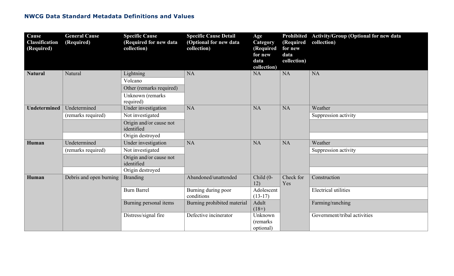| Cause<br><b>Classification</b><br>(Required) | <b>General Cause</b><br>(Required) | <b>Specific Cause</b><br>(Required for new data<br>collection) | <b>Specific Cause Detail</b><br>(Optional for new data<br>collection) | Age<br>Category<br>(Required<br>for new<br>data<br>collection) | (Required<br>for new<br>data<br>collection) | Prohibited Activity/Group (Optional for new data<br>collection) |
|----------------------------------------------|------------------------------------|----------------------------------------------------------------|-----------------------------------------------------------------------|----------------------------------------------------------------|---------------------------------------------|-----------------------------------------------------------------|
| <b>Natural</b>                               | Natural                            | Lightning                                                      | <b>NA</b>                                                             | <b>NA</b>                                                      | NA                                          | <b>NA</b>                                                       |
|                                              |                                    | Volcano                                                        |                                                                       |                                                                |                                             |                                                                 |
|                                              |                                    | Other (remarks required)                                       |                                                                       |                                                                |                                             |                                                                 |
|                                              |                                    | Unknown (remarks<br>required)                                  |                                                                       |                                                                |                                             |                                                                 |
| <b>Undetermined</b>                          | Undetermined                       | Under investigation                                            | <b>NA</b>                                                             | <b>NA</b>                                                      | <b>NA</b>                                   | Weather                                                         |
|                                              | (remarks required)                 | Not investigated                                               |                                                                       |                                                                |                                             | Suppression activity                                            |
|                                              |                                    | Origin and/or cause not<br>identified                          |                                                                       |                                                                |                                             |                                                                 |
|                                              |                                    | Origin destroyed                                               |                                                                       |                                                                |                                             |                                                                 |
| Human                                        | Undetermined                       | Under investigation                                            | <b>NA</b>                                                             | <b>NA</b>                                                      | <b>NA</b>                                   | Weather                                                         |
|                                              | (remarks required)                 | Not investigated                                               |                                                                       |                                                                |                                             | Suppression activity                                            |
|                                              |                                    | Origin and/or cause not<br>identified                          |                                                                       |                                                                |                                             |                                                                 |
|                                              |                                    | Origin destroyed                                               |                                                                       |                                                                |                                             |                                                                 |
| Human                                        | Debris and open burning            | <b>Branding</b>                                                | Abandoned/unattended                                                  | Child (0-<br>12)                                               | Check for<br>Yes                            | Construction                                                    |
|                                              |                                    | <b>Burn Barrel</b>                                             | Burning during poor<br>conditions                                     | Adolescent<br>$(13-17)$                                        |                                             | <b>Electrical utilities</b>                                     |
|                                              |                                    | Burning personal items                                         | Burning prohibited material                                           | Adult<br>$(18+)$                                               |                                             | Farming/ranching                                                |
|                                              |                                    | Distress/signal fire                                           | Defective incinerator                                                 | Unknown                                                        |                                             | Government/tribal activities                                    |
|                                              |                                    |                                                                |                                                                       | (remarks)                                                      |                                             |                                                                 |
|                                              |                                    |                                                                |                                                                       | optional)                                                      |                                             |                                                                 |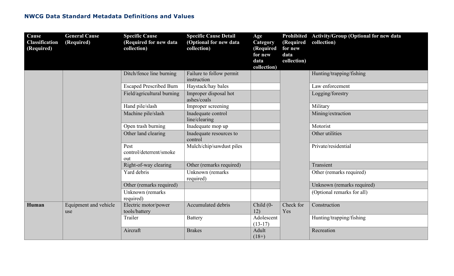| Cause<br><b>Classification</b><br>(Required) | <b>General Cause</b><br>(Required) | <b>Specific Cause</b><br>(Required for new data<br>collection) | <b>Specific Cause Detail</b><br>(Optional for new data<br>collection) | Age<br>Category<br>(Required<br>for new<br>data<br>collection) | (Required<br>for new<br>data<br>collection) | Prohibited Activity/Group (Optional for new data<br>collection) |
|----------------------------------------------|------------------------------------|----------------------------------------------------------------|-----------------------------------------------------------------------|----------------------------------------------------------------|---------------------------------------------|-----------------------------------------------------------------|
|                                              |                                    | Ditch/fence line burning                                       | Failure to follow permit<br>instruction                               |                                                                |                                             | Hunting/trapping/fishing                                        |
|                                              |                                    | <b>Escaped Prescribed Burn</b>                                 | Haystack/hay bales                                                    |                                                                |                                             | Law enforcement                                                 |
|                                              |                                    | Field/agricultural burning                                     | Improper disposal hot<br>ashes/coals                                  |                                                                |                                             | Logging/forestry                                                |
|                                              |                                    | Hand pile/slash                                                | Improper screening                                                    |                                                                |                                             | Military                                                        |
|                                              |                                    | Machine pile/slash                                             | Inadequate control<br>line/clearing                                   |                                                                |                                             | Mining/extraction                                               |
|                                              |                                    | Open trash burning                                             | Inadequate mop up                                                     |                                                                |                                             | Motorist                                                        |
|                                              |                                    | Other land clearing                                            | Inadequate resources to<br>control                                    |                                                                |                                             | Other utilities                                                 |
|                                              |                                    | Pest<br>control/deterrent/smoke<br>out                         | Mulch/chip/sawdust piles                                              |                                                                |                                             | Private/residential                                             |
|                                              |                                    | Right-of-way clearing                                          | Other (remarks required)                                              |                                                                |                                             | Transient                                                       |
|                                              |                                    | Yard debris                                                    | Unknown (remarks<br>required)                                         |                                                                |                                             | Other (remarks required)                                        |
|                                              |                                    | Other (remarks required)                                       |                                                                       |                                                                |                                             | Unknown (remarks required)                                      |
|                                              |                                    | Unknown (remarks<br>required)                                  |                                                                       |                                                                |                                             | (Optional remarks for all)                                      |
| Human                                        | Equipment and vehicle<br>use       | Electric motor/power<br>tools/battery                          | Accumulated debris                                                    | Child (0-<br>12)                                               | Check for<br>Yes                            | Construction                                                    |
|                                              |                                    | Trailer                                                        | <b>Battery</b>                                                        | Adolescent<br>$(13-17)$                                        |                                             | Hunting/trapping/fishing                                        |
|                                              |                                    | Aircraft                                                       | <b>Brakes</b>                                                         | Adult<br>$(18+)$                                               |                                             | Recreation                                                      |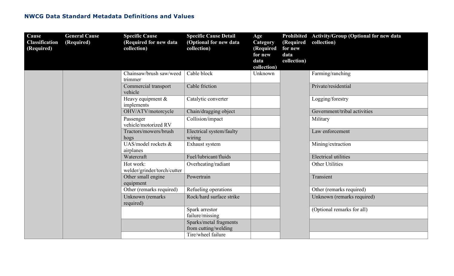| Cause<br><b>Classification</b><br>(Required) | <b>General Cause</b><br>(Required) | <b>Specific Cause</b><br>(Required for new data<br>collection) | <b>Specific Cause Detail</b><br>(Optional for new data<br>collection) | Age<br>Category<br>(Required<br>for new<br>data<br>collection) | (Required<br>for new<br>data<br>collection) | Prohibited Activity/Group (Optional for new data<br>collection) |
|----------------------------------------------|------------------------------------|----------------------------------------------------------------|-----------------------------------------------------------------------|----------------------------------------------------------------|---------------------------------------------|-----------------------------------------------------------------|
|                                              |                                    | Chainsaw/brush saw/weed<br>trimmer                             | Cable block                                                           | Unknown                                                        |                                             | Farming/ranching                                                |
|                                              |                                    | Commercial transport<br>vehicle                                | Cable friction                                                        |                                                                |                                             | Private/residential                                             |
|                                              |                                    | Heavy equipment &<br>implements                                | Catalytic converter                                                   |                                                                |                                             | Logging/forestry                                                |
|                                              |                                    | OHV/ATV/motorcycle                                             | Chain/dragging object                                                 |                                                                |                                             | Government/tribal activities                                    |
|                                              |                                    | Passenger<br>vehicle/motorized RV                              | Collision/impact                                                      |                                                                |                                             | Military                                                        |
|                                              |                                    | Tractors/mowers/brush<br>hogs                                  | Electrical system/faulty<br>wiring                                    |                                                                |                                             | Law enforcement                                                 |
|                                              |                                    | $\overline{\text{UAS}/\text{model}}$ rockets &<br>airplanes    | Exhaust system                                                        |                                                                |                                             | Mining/extraction                                               |
|                                              |                                    | Watercraft                                                     | Fuel/lubricant/fluids                                                 |                                                                |                                             | <b>Electrical utilities</b>                                     |
|                                              |                                    | Hot work:<br>welder/grinder/torch/cutter                       | Overheating/radiant                                                   |                                                                |                                             | <b>Other Utilities</b>                                          |
|                                              |                                    | Other small engine<br>equipment                                | Powertrain                                                            |                                                                |                                             | Transient                                                       |
|                                              |                                    | Other (remarks required)                                       | Refueling operations                                                  |                                                                |                                             | Other (remarks required)                                        |
|                                              |                                    | Unknown (remarks<br>required)                                  | Rock/hard surface strike                                              |                                                                |                                             | Unknown (remarks required)                                      |
|                                              |                                    |                                                                | Spark arrestor<br>failure/missing                                     |                                                                |                                             | (Optional remarks for all)                                      |
|                                              |                                    |                                                                | Sparks/metal fragments<br>from cutting/welding                        |                                                                |                                             |                                                                 |
|                                              |                                    |                                                                | Tire/wheel failure                                                    |                                                                |                                             |                                                                 |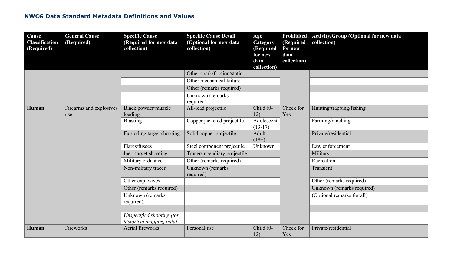| Cause<br><b>Classification</b><br>(Required) | <b>General Cause</b><br>(Required) | <b>Specific Cause</b><br>(Required for new data<br>collection) | <b>Specific Cause Detail</b><br>(Optional for new data<br>collection) | Age<br>Category<br>(Required<br>for new<br>data<br>collection) | (Required<br>for new<br>data<br>collection) | Prohibited Activity/Group (Optional for new data<br>collection) |
|----------------------------------------------|------------------------------------|----------------------------------------------------------------|-----------------------------------------------------------------------|----------------------------------------------------------------|---------------------------------------------|-----------------------------------------------------------------|
|                                              |                                    |                                                                | Other spark/friction/static                                           |                                                                |                                             |                                                                 |
|                                              |                                    |                                                                | Other mechanical failure                                              |                                                                |                                             |                                                                 |
|                                              |                                    |                                                                | Other (remarks required)                                              |                                                                |                                             |                                                                 |
|                                              |                                    |                                                                | Unknown (remarks<br>required)                                         |                                                                |                                             |                                                                 |
| Human                                        | Firearms and explosives<br>use     | Black powder/muzzle<br>loading                                 | All-lead projectile                                                   | Child (0-<br>12)                                               | Check for<br>Yes                            | Hunting/trapping/fishing                                        |
|                                              |                                    | Blasting                                                       | Copper jacketed projectile                                            | Adolescent<br>$(13-17)$                                        |                                             | Farming/ranching                                                |
|                                              |                                    | Exploding target shooting                                      | Solid copper projectile                                               | Adult<br>$(18+)$                                               |                                             | Private/residential                                             |
|                                              |                                    | Flares/fusees                                                  | Steel component projectile                                            | Unknown                                                        |                                             | Law enforcement                                                 |
|                                              |                                    | Inert target shooting                                          | Tracer/incendiary projectile                                          |                                                                |                                             | Military                                                        |
|                                              |                                    | Military ordnance                                              | Other (remarks required)                                              |                                                                |                                             | Recreation                                                      |
|                                              |                                    | Non-military tracer                                            | Unknown (remarks<br>required)                                         |                                                                |                                             | Transient                                                       |
|                                              |                                    | Other explosives                                               |                                                                       |                                                                |                                             | Other (remarks required)                                        |
|                                              |                                    | Other (remarks required)                                       |                                                                       |                                                                |                                             | Unknown (remarks required)                                      |
|                                              |                                    | Unknown (remarks)<br>required)                                 |                                                                       |                                                                |                                             | (Optional remarks for all)                                      |
|                                              |                                    |                                                                |                                                                       |                                                                |                                             |                                                                 |
|                                              |                                    | Unspecified shooting (for<br>historical mapping only)          |                                                                       |                                                                |                                             |                                                                 |
| Human                                        | Fireworks                          | Aerial fireworks                                               | Personal use                                                          | Child (0-<br>12)                                               | Check for<br>Yes                            | Private/residential                                             |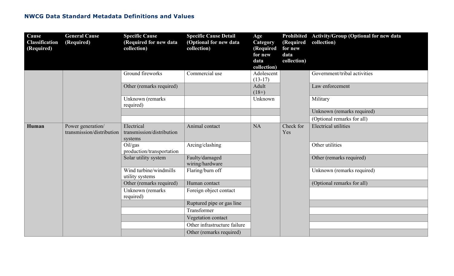| Cause<br><b>Classification</b><br>(Required) | <b>General Cause</b><br>(Required)             | <b>Specific Cause</b><br>(Required for new data<br>collection) | <b>Specific Cause Detail</b><br>(Optional for new data<br>collection) | Age<br>Category<br>(Required<br>for new<br>data<br>collection) | (Required<br>for new<br>data<br>collection) | Prohibited Activity/Group (Optional for new data<br>collection) |
|----------------------------------------------|------------------------------------------------|----------------------------------------------------------------|-----------------------------------------------------------------------|----------------------------------------------------------------|---------------------------------------------|-----------------------------------------------------------------|
|                                              |                                                | Ground fireworks                                               | Commercial use                                                        | Adolescent<br>$(13-17)$                                        |                                             | Government/tribal activities                                    |
|                                              |                                                | Other (remarks required)                                       |                                                                       | Adult<br>$(18+)$                                               |                                             | Law enforcement                                                 |
|                                              |                                                | Unknown (remarks<br>required)                                  |                                                                       | Unknown                                                        |                                             | Military                                                        |
|                                              |                                                |                                                                |                                                                       |                                                                |                                             | Unknown (remarks required)                                      |
|                                              |                                                |                                                                |                                                                       |                                                                |                                             | (Optional remarks for all)                                      |
| Human                                        | Power generation/<br>transmission/distribution | Electrical<br>transmission/distribution<br>systems             | Animal contact                                                        | <b>NA</b>                                                      | Check for<br>Yes                            | <b>Electrical utilities</b>                                     |
|                                              |                                                | Oil/gas<br>production/transportation                           | Arcing/clashing                                                       |                                                                |                                             | Other utilities                                                 |
|                                              |                                                | Solar utility system                                           | Faulty/damaged<br>wiring/hardware                                     |                                                                |                                             | Other (remarks required)                                        |
|                                              |                                                | Wind turbine/windmills<br>utility systems                      | Flaring/burn off                                                      |                                                                |                                             | Unknown (remarks required)                                      |
|                                              |                                                | Other (remarks required)                                       | Human contact                                                         |                                                                |                                             | (Optional remarks for all)                                      |
|                                              |                                                | Unknown (remarks<br>required)                                  | Foreign object contact                                                |                                                                |                                             |                                                                 |
|                                              |                                                |                                                                | Ruptured pipe or gas line                                             |                                                                |                                             |                                                                 |
|                                              |                                                |                                                                | Transformer                                                           |                                                                |                                             |                                                                 |
|                                              |                                                |                                                                | Vegetation contact                                                    |                                                                |                                             |                                                                 |
|                                              |                                                |                                                                | Other infrastructure failure                                          |                                                                |                                             |                                                                 |
|                                              |                                                |                                                                | Other (remarks required)                                              |                                                                |                                             |                                                                 |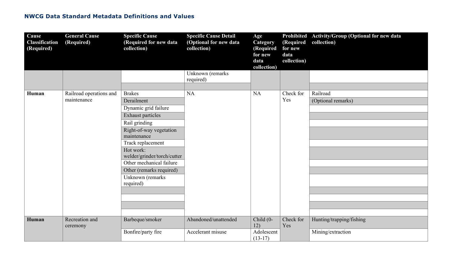| Cause<br><b>Classification</b><br>(Required) | <b>General Cause</b><br>(Required) | <b>Specific Cause</b><br>(Required for new data<br>collection) | <b>Specific Cause Detail</b><br>(Optional for new data<br>collection) | Age<br>Category<br>(Required<br>for new<br>data<br>collection) | (Required<br>for new<br>data<br>collection) | Prohibited Activity/Group (Optional for new data<br>collection) |
|----------------------------------------------|------------------------------------|----------------------------------------------------------------|-----------------------------------------------------------------------|----------------------------------------------------------------|---------------------------------------------|-----------------------------------------------------------------|
|                                              |                                    |                                                                | Unknown (remarks<br>required)                                         |                                                                |                                             |                                                                 |
| Human                                        | Railroad operations and            | <b>Brakes</b>                                                  | <b>NA</b>                                                             | <b>NA</b>                                                      | Check for                                   | Railroad                                                        |
|                                              | maintenance                        | Derailment                                                     |                                                                       |                                                                | Yes                                         | (Optional remarks)                                              |
|                                              |                                    | Dynamic grid failure<br><b>Exhaust particles</b>               |                                                                       |                                                                |                                             |                                                                 |
|                                              |                                    | Rail grinding                                                  |                                                                       |                                                                |                                             |                                                                 |
|                                              |                                    | Right-of-way vegetation<br>maintenance                         |                                                                       |                                                                |                                             |                                                                 |
|                                              |                                    | Track replacement                                              |                                                                       |                                                                |                                             |                                                                 |
|                                              |                                    | Hot work:<br>welder/grinder/torch/cutter                       |                                                                       |                                                                |                                             |                                                                 |
|                                              |                                    | Other mechanical failure                                       |                                                                       |                                                                |                                             |                                                                 |
|                                              |                                    | Other (remarks required)                                       |                                                                       |                                                                |                                             |                                                                 |
|                                              |                                    | Unknown (remarks<br>required)                                  |                                                                       |                                                                |                                             |                                                                 |
|                                              |                                    |                                                                |                                                                       |                                                                |                                             |                                                                 |
|                                              |                                    |                                                                |                                                                       |                                                                |                                             |                                                                 |
|                                              |                                    |                                                                |                                                                       |                                                                |                                             |                                                                 |
| Human                                        | Recreation and<br>ceremony         | Barbeque/smoker                                                | Abandoned/unattended                                                  | Child (0-<br>12)                                               | Check for<br>Yes                            | Hunting/trapping/fishing                                        |
|                                              |                                    | Bonfire/party fire                                             | Accelerant misuse                                                     | Adolescent<br>$(13-17)$                                        |                                             | Mining/extraction                                               |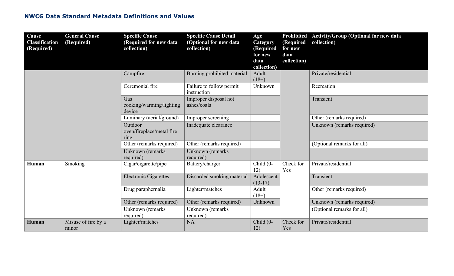| Cause<br><b>Classification</b><br>(Required) | <b>General Cause</b><br>(Required) | <b>Specific Cause</b><br>(Required for new data<br>collection) | <b>Specific Cause Detail</b><br>(Optional for new data<br>collection) | Age<br>Category<br>(Required<br>for new<br>data<br>collection) | <b>Prohibited</b><br>(Required<br>for new<br>data<br>collection) | <b>Activity/Group (Optional for new data</b><br>collection) |
|----------------------------------------------|------------------------------------|----------------------------------------------------------------|-----------------------------------------------------------------------|----------------------------------------------------------------|------------------------------------------------------------------|-------------------------------------------------------------|
|                                              |                                    | Campfire                                                       | Burning prohibited material                                           | Adult<br>$(18+)$                                               |                                                                  | Private/residential                                         |
|                                              |                                    | Ceremonial fire                                                | Failure to follow permit<br>instruction                               | Unknown                                                        |                                                                  | Recreation                                                  |
|                                              |                                    | Gas<br>cooking/warming/lighting<br>device                      | Improper disposal hot<br>ashes/coals                                  |                                                                |                                                                  | Transient                                                   |
|                                              |                                    | Luminary (aerial/ground)                                       | Improper screening                                                    |                                                                |                                                                  | Other (remarks required)                                    |
|                                              |                                    | Outdoor<br>oven/fireplace/metal fire<br>ring                   | Inadequate clearance                                                  |                                                                |                                                                  | Unknown (remarks required)                                  |
|                                              |                                    | Other (remarks required)                                       | Other (remarks required)                                              |                                                                |                                                                  | (Optional remarks for all)                                  |
|                                              |                                    | Unknown (remarks)<br>required)                                 | Unknown (remarks<br>required)                                         |                                                                |                                                                  |                                                             |
| Human                                        | Smoking                            | Cigar/cigarette/pipe                                           | Battery/charger                                                       | Child (0-<br>12)                                               | Check for<br>Yes                                                 | Private/residential                                         |
|                                              |                                    | <b>Electronic Cigarettes</b>                                   | Discarded smoking material                                            | Adolescent<br>$(13-17)$                                        |                                                                  | Transient                                                   |
|                                              |                                    | Drug paraphernalia                                             | Lighter/matches                                                       | Adult<br>$(18+)$                                               |                                                                  | Other (remarks required)                                    |
|                                              |                                    | Other (remarks required)                                       | Other (remarks required)                                              | Unknown                                                        |                                                                  | Unknown (remarks required)                                  |
|                                              |                                    | Unknown (remarks)<br>required)                                 | Unknown (remarks)<br>required)                                        |                                                                |                                                                  | (Optional remarks for all)                                  |
| Human                                        | Misuse of fire by a<br>minor       | Lighter/matches                                                | <b>NA</b>                                                             | Child (0-<br>12)                                               | Check for<br>Yes                                                 | Private/residential                                         |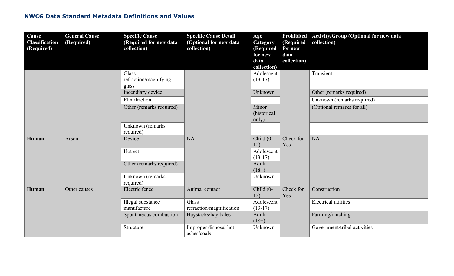| Cause<br><b>Classification</b><br>(Required) | <b>General Cause</b><br>(Required) | <b>Specific Cause</b><br>(Required for new data<br>collection) | <b>Specific Cause Detail</b><br>(Optional for new data<br>collection) | Age<br>Category<br>(Required<br>for new<br>data<br>collection) | (Required<br>for new<br>data<br>collection) | Prohibited Activity/Group (Optional for new data<br>collection) |
|----------------------------------------------|------------------------------------|----------------------------------------------------------------|-----------------------------------------------------------------------|----------------------------------------------------------------|---------------------------------------------|-----------------------------------------------------------------|
|                                              |                                    | Glass                                                          |                                                                       | Adolescent                                                     |                                             | Transient                                                       |
|                                              |                                    | refraction/magnifying<br>glass                                 |                                                                       | $(13-17)$                                                      |                                             |                                                                 |
|                                              |                                    | Incendiary device                                              |                                                                       | Unknown                                                        |                                             | Other (remarks required)                                        |
|                                              |                                    | Flint/friction                                                 |                                                                       |                                                                |                                             | Unknown (remarks required)                                      |
|                                              |                                    | Other (remarks required)                                       |                                                                       | Minor<br>(historical                                           |                                             | (Optional remarks for all)                                      |
|                                              |                                    |                                                                |                                                                       | only)                                                          |                                             |                                                                 |
|                                              |                                    | Unknown (remarks<br>required)                                  |                                                                       |                                                                |                                             |                                                                 |
| Human                                        | Arson                              | Device                                                         | <b>NA</b>                                                             | Child (0-<br>12)                                               | Check for<br>Yes                            | <b>NA</b>                                                       |
|                                              |                                    | Hot set                                                        |                                                                       | Adolescent<br>$(13-17)$                                        |                                             |                                                                 |
|                                              |                                    | Other (remarks required)                                       |                                                                       | Adult<br>$(18+)$                                               |                                             |                                                                 |
|                                              |                                    | Unknown (remarks<br>required)                                  |                                                                       | Unknown                                                        |                                             |                                                                 |
| Human                                        | Other causes                       | Electric fence                                                 | Animal contact                                                        | Child (0-<br>12)                                               | Check for<br>Yes                            | Construction                                                    |
|                                              |                                    | Illegal substance                                              | Glass                                                                 | Adolescent                                                     |                                             | <b>Electrical utilities</b>                                     |
|                                              |                                    | manufacture                                                    | refraction/magnification                                              | $(13-17)$                                                      |                                             |                                                                 |
|                                              |                                    | Spontaneous combustion                                         | Haystacks/hay bales                                                   | Adult<br>$(18+)$                                               |                                             | Farming/ranching                                                |
|                                              |                                    | Structure                                                      | Improper disposal hot<br>ashes/coals                                  | Unknown                                                        |                                             | Government/tribal activities                                    |